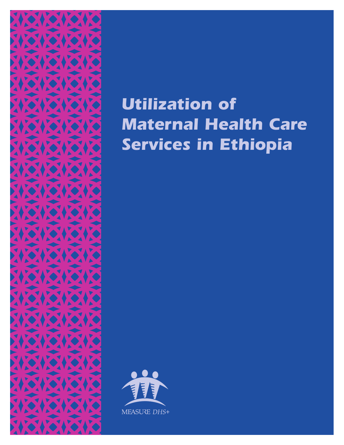

# *Utilization of Maternal Health Care Services in Ethiopia*

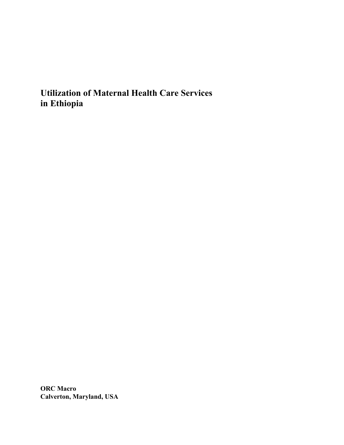**Utilization of Maternal Health Care Services in Ethiopia** 

**ORC Macro Calverton, Maryland, USA**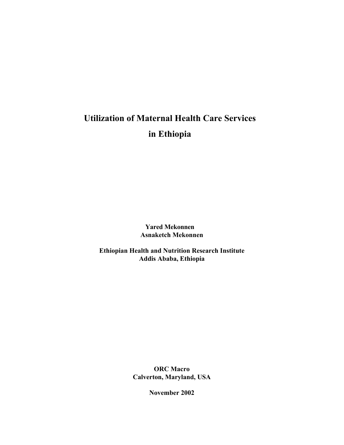# **Utilization of Maternal Health Care Services in Ethiopia**

**Yared Mekonnen Asnaketch Mekonnen** 

**Ethiopian Health and Nutrition Research Institute Addis Ababa, Ethiopia** 

> **ORC Macro Calverton, Maryland, USA**

> > **November 2002**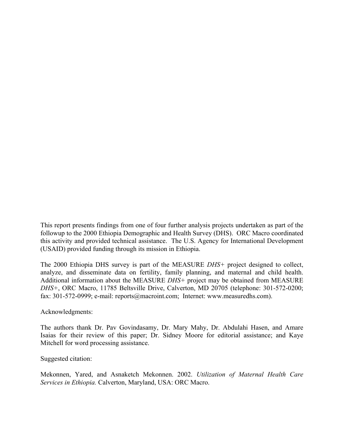This report presents findings from one of four further analysis projects undertaken as part of the followup to the 2000 Ethiopia Demographic and Health Survey (DHS). ORC Macro coordinated this activity and provided technical assistance. The U.S. Agency for International Development (USAID) provided funding through its mission in Ethiopia.

The 2000 Ethiopia DHS survey is part of the MEASURE *DHS+* project designed to collect, analyze, and disseminate data on fertility, family planning, and maternal and child health. Additional information about the MEASURE *DHS+* project may be obtained from MEASURE *DHS+*, ORC Macro, 11785 Beltsville Drive, Calverton, MD 20705 (telephone: 301-572-0200; fax: 301-572-0999; e-mail: reports@macroint.com; Internet: www.measuredhs.com).

Acknowledgments:

The authors thank Dr. Pav Govindasamy, Dr. Mary Mahy, Dr. Abdulahi Hasen, and Amare Isaias for their review of this paper; Dr. Sidney Moore for editorial assistance; and Kaye Mitchell for word processing assistance.

Suggested citation:

Mekonnen, Yared, and Asnaketch Mekonnen. 2002. *Utilization of Maternal Health Care Services in Ethiopia.* Calverton, Maryland, USA: ORC Macro.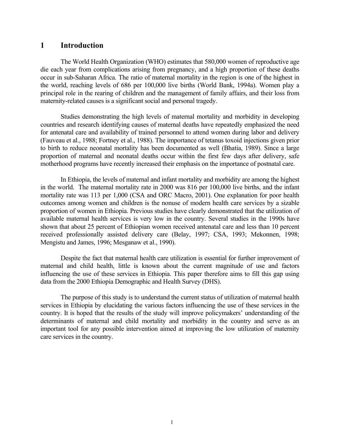# **1 Introduction**

 The World Health Organization (WHO) estimates that 580,000 women of reproductive age die each year from complications arising from pregnancy, and a high proportion of these deaths occur in sub-Saharan Africa. The ratio of maternal mortality in the region is one of the highest in the world, reaching levels of 686 per 100,000 live births (World Bank, 1994a). Women play a principal role in the rearing of children and the management of family affairs, and their loss from maternity-related causes is a significant social and personal tragedy.

 Studies demonstrating the high levels of maternal mortality and morbidity in developing countries and research identifying causes of maternal deaths have repeatedly emphasized the need for antenatal care and availability of trained personnel to attend women during labor and delivery (Fauveau et al., 1988; Fortney et al., 1988). The importance of tetanus toxoid injections given prior to birth to reduce neonatal mortality has been documented as well (Bhatia, 1989). Since a large proportion of maternal and neonatal deaths occur within the first few days after delivery, safe motherhood programs have recently increased their emphasis on the importance of postnatal care.

 In Ethiopia, the levels of maternal and infant mortality and morbidity are among the highest in the world. The maternal mortality rate in 2000 was 816 per 100,000 live births, and the infant mortality rate was 113 per 1,000 (CSA and ORC Macro, 2001). One explanation for poor health outcomes among women and children is the nonuse of modern health care services by a sizable proportion of women in Ethiopia. Previous studies have clearly demonstrated that the utilization of available maternal health services is very low in the country. Several studies in the 1990s have shown that about 25 percent of Ethiopian women received antenatal care and less than 10 percent received professionally assisted delivery care (Belay, 1997; CSA, 1993; Mekonnen, 1998; Mengistu and James, 1996; Mesganaw et al., 1990).

 Despite the fact that maternal health care utilization is essential for further improvement of maternal and child health, little is known about the current magnitude of use and factors influencing the use of these services in Ethiopia. This paper therefore aims to fill this gap using data from the 2000 Ethiopia Demographic and Health Survey (DHS).

 The purpose of this study is to understand the current status of utilization of maternal health services in Ethiopia by elucidating the various factors influencing the use of these services in the country. It is hoped that the results of the study will improve policymakers' understanding of the determinants of maternal and child mortality and morbidity in the country and serve as an important tool for any possible intervention aimed at improving the low utilization of maternity care services in the country.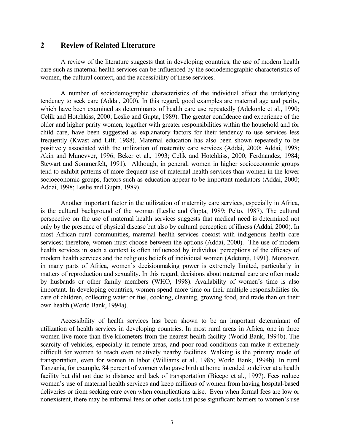# **2 Review of Related Literature**

 A review of the literature suggests that in developing countries, the use of modern health care such as maternal health services can be influenced by the sociodemographic characteristics of women, the cultural context, and the accessibility of these services.

 A number of sociodemographic characteristics of the individual affect the underlying tendency to seek care (Addai, 2000). In this regard, good examples are maternal age and parity, which have been examined as determinants of health care use repeatedly (Adekunle et al., 1990; Celik and Hotchkiss, 2000; Leslie and Gupta, 1989). The greater confidence and experience of the older and higher parity women, together with greater responsibilities within the household and for child care, have been suggested as explanatory factors for their tendency to use services less frequently (Kwast and Liff, 1988). Maternal education has also been shown repeatedly to be positively associated with the utilization of maternity care services (Addai, 2000; Addai, 1998; Akin and Munevver, 1996; Beker et al., 1993; Celik and Hotchkiss, 2000; Ferdnandez, 1984; Stewart and Sommerfelt, 1991). Although, in general, women in higher socioeconomic groups tend to exhibit patterns of more frequent use of maternal health services than women in the lower socioeconomic groups, factors such as education appear to be important mediators (Addai, 2000; Addai, 1998; Leslie and Gupta, 1989).

 Another important factor in the utilization of maternity care services, especially in Africa, is the cultural background of the woman (Leslie and Gupta, 1989; Pelto, 1987). The cultural perspective on the use of maternal health services suggests that medical need is determined not only by the presence of physical disease but also by cultural perception of illness (Addai, 2000). In most African rural communities, maternal health services coexist with indigenous health care services; therefore, women must choose between the options (Addai, 2000). The use of modern health services in such a context is often influenced by individual perceptions of the efficacy of modern health services and the religious beliefs of individual women (Adetunji, 1991). Moreover, in many parts of Africa, women's decisionmaking power is extremely limited, particularly in matters of reproduction and sexuality. In this regard, decisions about maternal care are often made by husbands or other family members (WHO, 1998). Availability of women's time is also important. In developing countries, women spend more time on their multiple responsibilities for care of children, collecting water or fuel, cooking, cleaning, growing food, and trade than on their own health (World Bank, 1994a).

 Accessibility of health services has been shown to be an important determinant of utilization of health services in developing countries. In most rural areas in Africa, one in three women live more than five kilometers from the nearest health facility (World Bank, 1994b). The scarcity of vehicles, especially in remote areas, and poor road conditions can make it extremely difficult for women to reach even relatively nearby facilities. Walking is the primary mode of transportation, even for women in labor (Williams et al., 1985; World Bank, 1994b). In rural Tanzania, for example, 84 percent of women who gave birth at home intended to deliver at a health facility but did not due to distance and lack of transportation (Bicego et al., 1997). Fees reduce women's use of maternal health services and keep millions of women from having hospital-based deliveries or from seeking care even when complications arise. Even when formal fees are low or nonexistent, there may be informal fees or other costs that pose significant barriers to women's use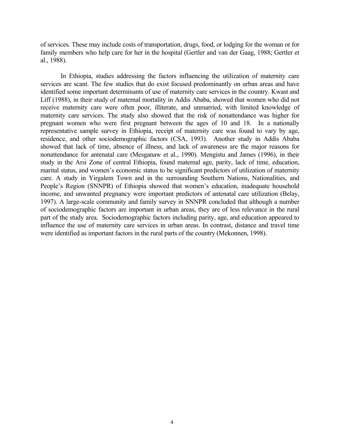of services. These may include costs of transportation, drugs, food, or lodging for the woman or for family members who help care for her in the hospital (Gertler and van der Gaag, 1988; Gertler et al., 1988).

 In Ethiopia, studies addressing the factors influencing the utilization of maternity care services are scant. The few studies that do exist focused predominantly on urban areas and have identified some important determinants of use of maternity care services in the country. Kwast and Liff (1988), in their study of maternal mortality in Addis Ababa, showed that women who did not receive maternity care were often poor, illiterate, and unmarried, with limited knowledge of maternity care services. The study also showed that the risk of nonattendance was higher for pregnant women who were first pregnant between the ages of 10 and 18. In a nationally representative sample survey in Ethiopia, receipt of maternity care was found to vary by age, residence, and other sociodemographic factors (CSA, 1993). Another study in Addis Ababa showed that lack of time, absence of illness, and lack of awareness are the major reasons for nonattendance for antenatal care (Mesganaw et al., 1990). Mengistu and James (1996), in their study in the Arsi Zone of central Ethiopia, found maternal age, parity, lack of time, education, marital status, and women's economic status to be significant predictors of utilization of maternity care. A study in Yirgalem Town and in the surrounding Southern Nations, Nationalities, and People's Region (SNNPR) of Ethiopia showed that women's education, inadequate household income, and unwanted pregnancy were important predictors of antenatal care utilization (Belay, 1997). A large-scale community and family survey in SNNPR concluded that although a number of sociodemographic factors are important in urban areas, they are of less relevance in the rural part of the study area. Sociodemographic factors including parity, age, and education appeared to influence the use of maternity care services in urban areas. In contrast, distance and travel time were identified as important factors in the rural parts of the country (Mekonnen, 1998).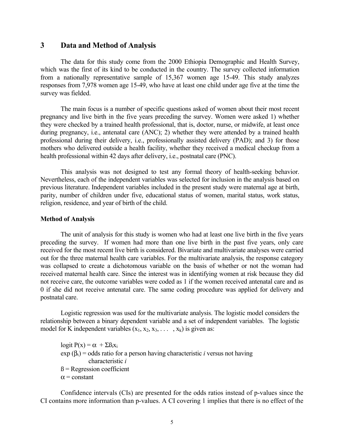# **3 Data and Method of Analysis**

 The data for this study come from the 2000 Ethiopia Demographic and Health Survey, which was the first of its kind to be conducted in the country. The survey collected information from a nationally representative sample of 15,367 women age 15-49. This study analyzes responses from 7,978 women age 15-49, who have at least one child under age five at the time the survey was fielded.

 The main focus is a number of specific questions asked of women about their most recent pregnancy and live birth in the five years preceding the survey. Women were asked 1) whether they were checked by a trained health professional, that is, doctor, nurse, or midwife, at least once during pregnancy, i.e., antenatal care (ANC); 2) whether they were attended by a trained health professional during their delivery, i.e., professionally assisted delivery (PAD); and 3) for those mothers who delivered outside a health facility, whether they received a medical checkup from a health professional within 42 days after delivery, i.e., postnatal care (PNC).

 This analysis was not designed to test any formal theory of health-seeking behavior. Nevertheless, each of the independent variables was selected for inclusion in the analysis based on previous literature. Independent variables included in the present study were maternal age at birth, parity, number of children under five, educational status of women, marital status, work status, religion, residence, and year of birth of the child.

#### **Method of Analysis**

 The unit of analysis for this study is women who had at least one live birth in the five years preceding the survey. If women had more than one live birth in the past five years, only care received for the most recent live birth is considered. Bivariate and multivariate analyses were carried out for the three maternal health care variables. For the multivariate analysis, the response category was collapsed to create a dichotomous variable on the basis of whether or not the woman had received maternal health care. Since the interest was in identifying women at risk because they did not receive care, the outcome variables were coded as 1 if the women received antenatal care and as 0 if she did not receive antenatal care. The same coding procedure was applied for delivery and postnatal care.

 Logistic regression was used for the multivariate analysis. The logistic model considers the relationship between a binary dependent variable and a set of independent variables. The logistic model for K independent variables  $(x_1, x_2, x_3, \ldots, x_k)$  is given as:

logit  $P(x) = \alpha + \sum B_i x_i$ exp  $(\beta_i)$  = odds ratio for a person having characteristic *i* versus not having characteristic *i*  $B = Regression coefficient$  $\alpha$  = constant

 Confidence intervals (CIs) are presented for the odds ratios instead of p-values since the CI contains more information than p-values. A CI covering 1 implies that there is no effect of the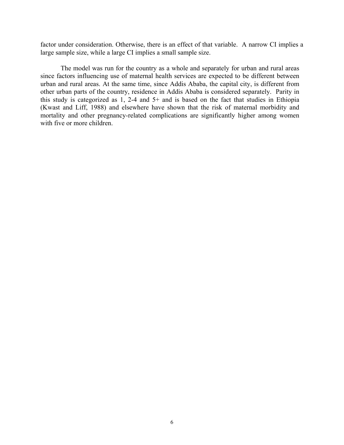factor under consideration. Otherwise, there is an effect of that variable. A narrow CI implies a large sample size, while a large CI implies a small sample size.

 The model was run for the country as a whole and separately for urban and rural areas since factors influencing use of maternal health services are expected to be different between urban and rural areas. At the same time, since Addis Ababa, the capital city, is different from other urban parts of the country, residence in Addis Ababa is considered separately. Parity in this study is categorized as 1, 2-4 and 5+ and is based on the fact that studies in Ethiopia (Kwast and Liff, 1988) and elsewhere have shown that the risk of maternal morbidity and mortality and other pregnancy-related complications are significantly higher among women with five or more children.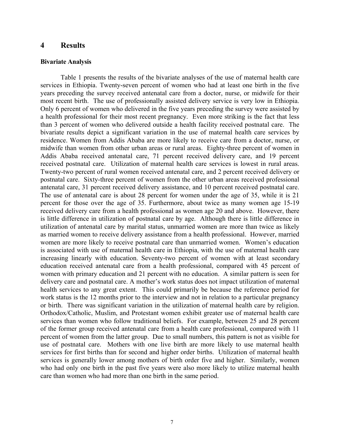#### **4 Results**

#### **Bivariate Analysis**

 Table 1 presents the results of the bivariate analyses of the use of maternal health care services in Ethiopia. Twenty-seven percent of women who had at least one birth in the five years preceding the survey received antenatal care from a doctor, nurse, or midwife for their most recent birth. The use of professionally assisted delivery service is very low in Ethiopia. Only 6 percent of women who delivered in the five years preceding the survey were assisted by a health professional for their most recent pregnancy. Even more striking is the fact that less than 3 percent of women who delivered outside a health facility received postnatal care. The bivariate results depict a significant variation in the use of maternal health care services by residence. Women from Addis Ababa are more likely to receive care from a doctor, nurse, or midwife than women from other urban areas or rural areas. Eighty-three percent of women in Addis Ababa received antenatal care, 71 percent received delivery care, and 19 percent received postnatal care. Utilization of maternal health care services is lowest in rural areas. Twenty-two percent of rural women received antenatal care, and 2 percent received delivery or postnatal care. Sixty-three percent of women from the other urban areas received professional antenatal care, 31 percent received delivery assistance, and 10 percent received postnatal care. The use of antenatal care is about 28 percent for women under the age of 35, while it is 21 percent for those over the age of 35. Furthermore, about twice as many women age 15-19 received delivery care from a health professional as women age 20 and above. However, there is little difference in utilization of postnatal care by age. Although there is little difference in utilization of antenatal care by marital status, unmarried women are more than twice as likely as married women to receive delivery assistance from a health professional. However, married women are more likely to receive postnatal care than unmarried women. Women's education is associated with use of maternal health care in Ethiopia, with the use of maternal health care increasing linearly with education. Seventy-two percent of women with at least secondary education received antenatal care from a health professional, compared with 45 percent of women with primary education and 21 percent with no education. A similar pattern is seen for delivery care and postnatal care. A mother's work status does not impact utilization of maternal health services to any great extent. This could primarily be because the reference period for work status is the 12 months prior to the interview and not in relation to a particular pregnancy or birth. There was significant variation in the utilization of maternal health care by religion. Orthodox/Catholic, Muslim, and Protestant women exhibit greater use of maternal health care services than women who follow traditional beliefs. For example, between 25 and 28 percent of the former group received antenatal care from a health care professional, compared with 11 percent of women from the latter group. Due to small numbers, this pattern is not as visible for use of postnatal care. Mothers with one live birth are more likely to use maternal health services for first births than for second and higher order births. Utilization of maternal health services is generally lower among mothers of birth order five and higher. Similarly, women who had only one birth in the past five years were also more likely to utilize maternal health care than women who had more than one birth in the same period.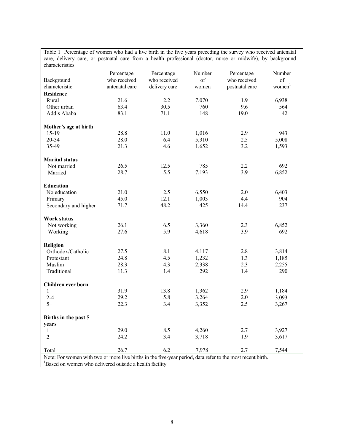| care, delivery care, or postnatal care from a health professional (doctor, nurse or midwife), by background<br>characteristics |                                                                     |               |        |                |                                   |
|--------------------------------------------------------------------------------------------------------------------------------|---------------------------------------------------------------------|---------------|--------|----------------|-----------------------------------|
|                                                                                                                                | Percentage                                                          | Percentage    | Number | Percentage     | Number                            |
| Background                                                                                                                     | who received                                                        | who received  | of     | who received   | of                                |
| characteristic                                                                                                                 | antenatal care                                                      | delivery care | women  | postnatal care | $\underline{w}$ omen <sup>1</sup> |
| <b>Residence</b>                                                                                                               |                                                                     |               |        |                |                                   |
| Rural                                                                                                                          | 21.6                                                                | 2.2           | 7,070  | 1.9            | 6,938                             |
| Other urban                                                                                                                    | 63.4                                                                | 30.5          | 760    | 9.6            | 564                               |
| Addis Ababa                                                                                                                    | 83.1                                                                | 71.1          | 148    | 19.0           | 42                                |
|                                                                                                                                |                                                                     |               |        |                |                                   |
| Mother's age at birth                                                                                                          |                                                                     |               |        |                |                                   |
| $15-19$                                                                                                                        | 28.8                                                                | 11.0          | 1,016  | 2.9            | 943                               |
| 20-34                                                                                                                          | 28.0                                                                | 6.4           | 5,310  | 2.5            | 5,008                             |
| 35-49                                                                                                                          | 21.3                                                                | 4.6           | 1,652  | 3.2            | 1,593                             |
|                                                                                                                                |                                                                     |               |        |                |                                   |
| <b>Marital status</b>                                                                                                          |                                                                     |               |        |                |                                   |
| Not married                                                                                                                    | 26.5                                                                | 12.5          | 785    | 2.2            | 692                               |
| Married                                                                                                                        | 28.7                                                                | 5.5           | 7,193  | 3.9            | 6,852                             |
|                                                                                                                                |                                                                     |               |        |                |                                   |
| <b>Education</b>                                                                                                               |                                                                     |               |        |                |                                   |
| No education                                                                                                                   | 21.0                                                                | 2.5           | 6,550  | 2.0            | 6,403                             |
| Primary                                                                                                                        | 45.0                                                                | 12.1          | 1,003  | 4.4            | 904                               |
| Secondary and higher                                                                                                           | 71.7                                                                | 48.2          | 425    | 14.4           | 237                               |
| <b>Work status</b>                                                                                                             |                                                                     |               |        |                |                                   |
| Not working                                                                                                                    | 26.1                                                                | 6.5           | 3,360  | 2.3            | 6,852                             |
| Working                                                                                                                        | 27.6                                                                | 5.9           | 4,618  | 3.9            | 692                               |
|                                                                                                                                |                                                                     |               |        |                |                                   |
| Religion                                                                                                                       |                                                                     |               |        |                |                                   |
| Orthodox/Catholic                                                                                                              | 27.5                                                                | 8.1           | 4,117  | 2.8            | 3,814                             |
| Protestant                                                                                                                     | 24.8                                                                | 4.5           | 1,232  | 1.3            | 1,185                             |
| Muslim                                                                                                                         | 28.3                                                                | 4.3           | 2,338  | 2.3            | 2,255                             |
| Traditional                                                                                                                    | 11.3                                                                | 1.4           | 292    | 1.4            | 290                               |
|                                                                                                                                |                                                                     |               |        |                |                                   |
| Children ever born                                                                                                             |                                                                     |               |        |                |                                   |
| 1                                                                                                                              | 31.9                                                                | 13.8          | 1,362  | 2.9            | 1,184                             |
| $2 - 4$                                                                                                                        | 29.2                                                                | 5.8           | 3,264  | 2.0            | 3,093                             |
| $5+$                                                                                                                           | 22.3                                                                | 3.4           | 3,352  | 2.5            | 3,267                             |
|                                                                                                                                |                                                                     |               |        |                |                                   |
| Births in the past 5                                                                                                           |                                                                     |               |        |                |                                   |
| years                                                                                                                          |                                                                     |               |        |                |                                   |
| 1                                                                                                                              | 29.0                                                                | 8.5           | 4,260  | 2.7            | 3,927                             |
| $2+$                                                                                                                           | 24.2                                                                | 3.4           | 3,718  | 1.9            | 3,617                             |
| Total                                                                                                                          | 26.7                                                                | 6.2           | 7,978  | 2.7            | 7,544                             |
| Note: For women with two or more live births in the five-year period, data refer to the most recent birth.                     |                                                                     |               |        |                |                                   |
|                                                                                                                                | <sup>1</sup> Based on women who delivered outside a health facility |               |        |                |                                   |

Table 1 Percentage of women who had a live birth in the five years preceding the survey who received antenatal care, delivery care, or postnatal care from a health professional (doctor, nurse or midwife), by background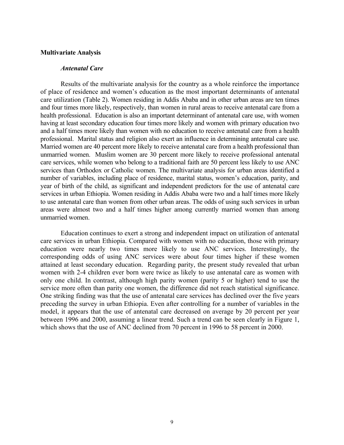#### **Multivariate Analysis**

### *Antenatal Care*

 Results of the multivariate analysis for the country as a whole reinforce the importance of place of residence and women's education as the most important determinants of antenatal care utilization (Table 2). Women residing in Addis Ababa and in other urban areas are ten times and four times more likely, respectively, than women in rural areas to receive antenatal care from a health professional. Education is also an important determinant of antenatal care use, with women having at least secondary education four times more likely and women with primary education two and a half times more likely than women with no education to receive antenatal care from a health professional. Marital status and religion also exert an influence in determining antenatal care use. Married women are 40 percent more likely to receive antenatal care from a health professional than unmarried women. Muslim women are 30 percent more likely to receive professional antenatal care services, while women who belong to a traditional faith are 50 percent less likely to use ANC services than Orthodox or Catholic women. The multivariate analysis for urban areas identified a number of variables, including place of residence, marital status, women's education, parity, and year of birth of the child, as significant and independent predictors for the use of antenatal care services in urban Ethiopia. Women residing in Addis Ababa were two and a half times more likely to use antenatal care than women from other urban areas. The odds of using such services in urban areas were almost two and a half times higher among currently married women than among unmarried women.

 Education continues to exert a strong and independent impact on utilization of antenatal care services in urban Ethiopia. Compared with women with no education, those with primary education were nearly two times more likely to use ANC services. Interestingly, the corresponding odds of using ANC services were about four times higher if these women attained at least secondary education. Regarding parity, the present study revealed that urban women with 2-4 children ever born were twice as likely to use antenatal care as women with only one child. In contrast, although high parity women (parity 5 or higher) tend to use the service more often than parity one women, the difference did not reach statistical significance. One striking finding was that the use of antenatal care services has declined over the five years preceding the survey in urban Ethiopia. Even after controlling for a number of variables in the model, it appears that the use of antenatal care decreased on average by 20 percent per year between 1996 and 2000, assuming a linear trend. Such a trend can be seen clearly in Figure 1, which shows that the use of ANC declined from 70 percent in 1996 to 58 percent in 2000.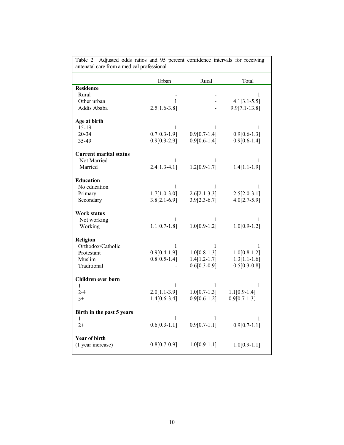| antenatal care from a medical professional |                |                |                   |  |
|--------------------------------------------|----------------|----------------|-------------------|--|
|                                            | Urban          | Rural          | Total             |  |
| <b>Residence</b>                           |                |                |                   |  |
| Rural                                      |                |                | 1                 |  |
| Other urban                                | 1              |                | $4.1[3.1-5.5]$    |  |
| Addis Ababa                                | $2.5[1.6-3.8]$ |                | $9.9[7.1 - 13.8]$ |  |
| Age at birth                               |                |                |                   |  |
| $15-19$                                    | $\mathbf{1}$   | $\mathbf{1}$   | $\mathbf{1}$      |  |
| 20-34                                      | $0.7[0.3-1.9]$ | $0.9[0.7-1.4]$ | $0.9[0.6-1.3]$    |  |
| 35-49                                      | $0.9[0.3-2.9]$ | $0.9[0.6-1.4]$ | $0.9[0.6-1.4]$    |  |
| Current marital status                     |                |                |                   |  |
| Not Married                                | 1              | 1              |                   |  |
| Married                                    | $2.4[1.3-4.1]$ | $1.2[0.9-1.7]$ | $1.4[1.1-1.9]$    |  |
| <b>Education</b>                           |                |                |                   |  |
| No education                               | 1              | 1              | 1                 |  |
| Primary                                    | $1.7[1.0-3.0]$ | $2.6[2.1-3.3]$ | $2.5[2.0-3.1]$    |  |
| Secondary +                                | $3.8[2.1-6.9]$ | $3.9[2.3-6.7]$ | $4.0[2.7-5.9]$    |  |
| Work status                                |                |                |                   |  |
| Not working                                | 1              | 1              | 1                 |  |
| Working                                    | $1.1[0.7-1.8]$ | $1.0[0.9-1.2]$ | $1.0[0.9-1.2]$    |  |
| <b>Religion</b>                            |                |                |                   |  |
| Orthodox/Catholic                          | 1              | 1              | 1                 |  |
| Protestant                                 | $0.9[0.4-1.9]$ | $1.0[0.8-1.3]$ | $1.0[0.8-1.2]$    |  |
| Muslim                                     | $0.8[0.5-1.4]$ | $1.4[1.2-1.7]$ | $1.3[1.1-1.6]$    |  |
| Traditional                                |                | $0.6[0.3-0.9]$ | $0.5[0.3-0.8]$    |  |
| Children ever born                         |                |                |                   |  |
| 1                                          | 1              | 1              | 1                 |  |
| $2 - 4$                                    | $2.0[1.1-3.9]$ | $1.0[0.7-1.3]$ | $1.1[0.9-1.4]$    |  |
| $5+$                                       | $1.4[0.6-3.4]$ | $0.9[0.6-1.2]$ | $0.9[0.7-1.3]$    |  |
| Birth in the past 5 years                  |                |                |                   |  |
| $\mathbf{1}$                               | 1              | 1              | 1                 |  |
| $2+$                                       | $0.6[0.3-1.1]$ | $0.9[0.7-1.1]$ | $0.9[0.7-1.1]$    |  |
| <b>Year of birth</b>                       |                |                |                   |  |
| (1 year increase)                          | $0.8[0.7-0.9]$ | $1.0[0.9-1.1]$ | $1.0[0.9-1.1]$    |  |
|                                            |                |                |                   |  |

Table 2 Adjusted odds ratios and 95 percent confidence intervals for receiving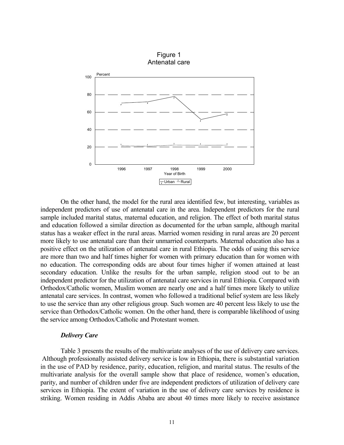

 On the other hand, the model for the rural area identified few, but interesting, variables as independent predictors of use of antenatal care in the area. Independent predictors for the rural sample included marital status, maternal education, and religion. The effect of both marital status and education followed a similar direction as documented for the urban sample, although marital status has a weaker effect in the rural areas. Married women residing in rural areas are 20 percent more likely to use antenatal care than their unmarried counterparts. Maternal education also has a positive effect on the utilization of antenatal care in rural Ethiopia. The odds of using this service are more than two and half times higher for women with primary education than for women with no education. The corresponding odds are about four times higher if women attained at least secondary education. Unlike the results for the urban sample, religion stood out to be an independent predictor for the utilization of antenatal care services in rural Ethiopia. Compared with Orthodox/Catholic women, Muslim women are nearly one and a half times more likely to utilize antenatal care services. In contrast, women who followed a traditional belief system are less likely to use the service than any other religious group. Such women are 40 percent less likely to use the service than Orthodox/Catholic women. On the other hand, there is comparable likelihood of using the service among Orthodox/Catholic and Protestant women.

#### *Delivery Care*

 Table 3 presents the results of the multivariate analyses of the use of delivery care services. Although professionally assisted delivery service is low in Ethiopia, there is substantial variation in the use of PAD by residence, parity, education, religion, and marital status. The results of the multivariate analysis for the overall sample show that place of residence, women's education, parity, and number of children under five are independent predictors of utilization of delivery care services in Ethiopia. The extent of variation in the use of delivery care services by residence is striking. Women residing in Addis Ababa are about 40 times more likely to receive assistance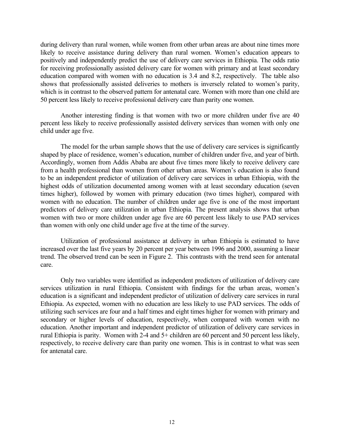during delivery than rural women, while women from other urban areas are about nine times more likely to receive assistance during delivery than rural women. Women's education appears to positively and independently predict the use of delivery care services in Ethiopia. The odds ratio for receiving professionally assisted delivery care for women with primary and at least secondary education compared with women with no education is 3.4 and 8.2, respectively. The table also shows that professionally assisted deliveries to mothers is inversely related to women's parity, which is in contrast to the observed pattern for antenatal care. Women with more than one child are 50 percent less likely to receive professional delivery care than parity one women.

 Another interesting finding is that women with two or more children under five are 40 percent less likely to receive professionally assisted delivery services than women with only one child under age five.

 The model for the urban sample shows that the use of delivery care services is significantly shaped by place of residence, women's education, number of children under five, and year of birth. Accordingly, women from Addis Ababa are about five times more likely to receive delivery care from a health professional than women from other urban areas. Women's education is also found to be an independent predictor of utilization of delivery care services in urban Ethiopia, with the highest odds of utilization documented among women with at least secondary education (seven times higher), followed by women with primary education (two times higher), compared with women with no education. The number of children under age five is one of the most important predictors of delivery care utilization in urban Ethiopia. The present analysis shows that urban women with two or more children under age five are 60 percent less likely to use PAD services than women with only one child under age five at the time of the survey.

 Utilization of professional assistance at delivery in urban Ethiopia is estimated to have increased over the last five years by 20 percent per year between 1996 and 2000, assuming a linear trend. The observed trend can be seen in Figure 2. This contrasts with the trend seen for antenatal care.

 Only two variables were identified as independent predictors of utilization of delivery care services utilization in rural Ethiopia. Consistent with findings for the urban areas, women's education is a significant and independent predictor of utilization of delivery care services in rural Ethiopia. As expected, women with no education are less likely to use PAD services. The odds of utilizing such services are four and a half times and eight times higher for women with primary and secondary or higher levels of education, respectively, when compared with women with no education. Another important and independent predictor of utilization of delivery care services in rural Ethiopia is parity. Women with 2-4 and 5+ children are 60 percent and 50 percent less likely, respectively, to receive delivery care than parity one women. This is in contrast to what was seen for antenatal care.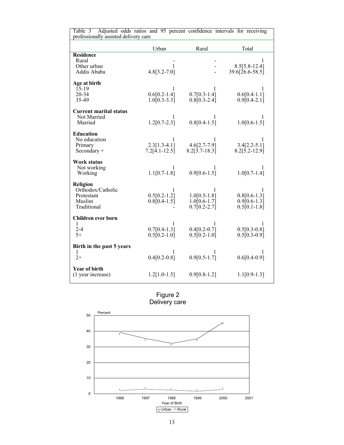| Adjusted odds ratios and 95 percent confidence intervals for receiving<br>Table 3<br>professionally assisted delivery care |                                                   |                                                         |                                                         |  |
|----------------------------------------------------------------------------------------------------------------------------|---------------------------------------------------|---------------------------------------------------------|---------------------------------------------------------|--|
|                                                                                                                            | Urban                                             | Rural                                                   | Total                                                   |  |
| <b>Residence</b><br>Rural<br>Other urban<br>Addis Ababa                                                                    | 1<br>$4.8[3.2 - 7.0]$                             |                                                         | $8.5[5.8-12.4]$<br>39.6[26.6-58.5]                      |  |
| Age at birth<br>$15-19$<br>20-34<br>35-49                                                                                  | 1<br>$0.6[0.2-1.4]$<br>$1.0[0.3-3.3]$             | 1<br>$0.7[0.3-1.4]$<br>$0.8[0.3-2.4]$                   | 1<br>$0.6[0.4-1.1]$<br>$0.9[0.4-2.1]$                   |  |
| <b>Current marital status</b><br>Not Married<br>Married                                                                    | 1<br>$1.2[0.7-2.3]$                               | $0.8[0.4-1.5]$                                          | T<br>$1.0[0.6-1.5]$                                     |  |
| <b>Education</b><br>No education<br>Primary<br>Secondary $+$                                                               | $\mathbf{1}$<br>$2.3[1.3-4.1]$<br>$7.2[4.1-12.5]$ | 1<br>$4.6[2.7-7.9]$<br>$8.2[3.7-18.3]$                  | 1<br>$3.4[2.2-5.1]$<br>$8.2[5.2 - 12.9]$                |  |
| Work status<br>Not working<br>Working                                                                                      | 1<br>$1.1[0.7-1.8]$                               | $0.9[0.6-1.5]$                                          | $1.0[0.7-1.4]$                                          |  |
| <b>Religion</b><br>Orthodox/Catholic<br>Protestant<br>Muslim<br>Traditional                                                | 1<br>$0.5[0.2-1.2]$<br>$0.8[0.4-1.5]$             | 1<br>$1.0[0.5-1.8]$<br>$1.0[0.6-1.7]$<br>$0.7[0.2-2.7]$ | 1<br>$0.8[0.6-1.3]$<br>$0.9[0.6-1.3]$<br>$0.5[0.1-1.8]$ |  |
| Children ever born<br>$\mathbf{1}$<br>$2 - 4$<br>$5+$                                                                      | 1<br>$0.7[0.4-1.3]$<br>$0.5[0.2-1.0]$             | 1<br>$0.4[0.2-0.7]$<br>$0.5[0.2-1.0]$                   | 1<br>$0.5[0.3-0.8]$<br>$0.5[0.3-0.9]$                   |  |
| Birth in the past 5 years<br>1<br>$2+$                                                                                     | 1<br>$0.4[0.2-0.8]$                               | L<br>$0.9[0.5-1.7]$                                     | $0.6[0.4-0.9]$                                          |  |
| <b>Year of birth</b><br>(1 year increase)                                                                                  | $1.2[1.0-1.5]$                                    | $0.9[0.8-1.2]$                                          | $1.1[0.9-1.3]$                                          |  |



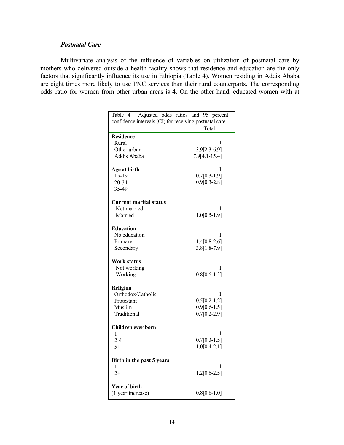# *Postnatal Care*

 Multivariate analysis of the influence of variables on utilization of postnatal care by mothers who delivered outside a health facility shows that residence and education are the only factors that significantly influence its use in Ethiopia (Table 4). Women residing in Addis Ababa are eight times more likely to use PNC services than their rural counterparts. The corresponding odds ratio for women from other urban areas is 4. On the other hand, educated women with at

| Table 4<br>Adjusted odds ratios and 95 percent         |                |  |  |  |
|--------------------------------------------------------|----------------|--|--|--|
| confidence intervals (CI) for receiving postnatal care |                |  |  |  |
|                                                        | Total          |  |  |  |
| <b>Residence</b>                                       |                |  |  |  |
| Rural                                                  | 1              |  |  |  |
| Other urban                                            | $3.9[2.3-6.9]$ |  |  |  |
| Addis Ababa                                            | 7.9[4.1-15.4]  |  |  |  |
|                                                        |                |  |  |  |
| Age at birth                                           | 1              |  |  |  |
| $15 - 19$                                              | $0.7[0.3-1.9]$ |  |  |  |
| 20-34                                                  | $0.9[0.3-2.8]$ |  |  |  |
| 35-49                                                  |                |  |  |  |
| <b>Current marital status</b>                          |                |  |  |  |
| Not married                                            | 1              |  |  |  |
| Married                                                | $1.0[0.5-1.9]$ |  |  |  |
|                                                        |                |  |  |  |
| <b>Education</b>                                       |                |  |  |  |
| No education                                           | 1              |  |  |  |
| Primary                                                | $1.4[0.8-2.6]$ |  |  |  |
| Secondary +                                            | 3.8[1.8-7.9]   |  |  |  |
| Work status                                            |                |  |  |  |
| Not working                                            | 1              |  |  |  |
| Working                                                | $0.8[0.5-1.3]$ |  |  |  |
|                                                        |                |  |  |  |
| Religion                                               |                |  |  |  |
| Orthodox/Catholic                                      | 1              |  |  |  |
| Protestant                                             | $0.5[0.2-1.2]$ |  |  |  |
| Muslim                                                 | $0.9[0.6-1.5]$ |  |  |  |
| Traditional                                            | $0.7[0.2-2.9]$ |  |  |  |
|                                                        |                |  |  |  |
| Children ever born                                     |                |  |  |  |
| 1                                                      | 1              |  |  |  |
| $2 - 4$                                                | $0.7[0.3-1.5]$ |  |  |  |
| $5+$                                                   | $1.0[0.4-2.1]$ |  |  |  |
| Birth in the past 5 years                              |                |  |  |  |
| 1                                                      | 1              |  |  |  |
| $2+$                                                   | $1.2[0.6-2.5]$ |  |  |  |
| <b>Year of birth</b>                                   |                |  |  |  |
| (1 year increase)                                      | $0.8[0.6-1.0]$ |  |  |  |
|                                                        |                |  |  |  |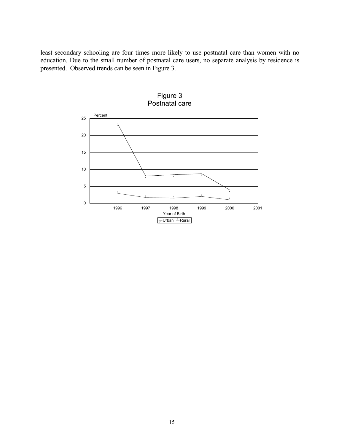least secondary schooling are four times more likely to use postnatal care than women with no education. Due to the small number of postnatal care users, no separate analysis by residence is presented. Observed trends can be seen in Figure 3.



Figure 3 Postnatal care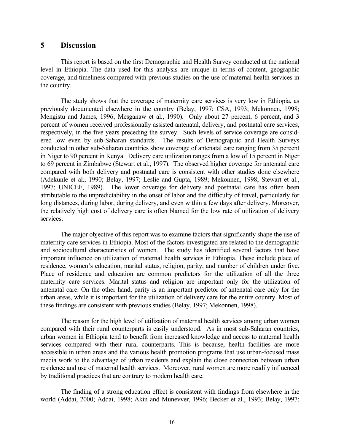# **5 Discussion**

 This report is based on the first Demographic and Health Survey conducted at the national level in Ethiopia. The data used for this analysis are unique in terms of content, geographic coverage, and timeliness compared with previous studies on the use of maternal health services in the country.

 The study shows that the coverage of maternity care services is very low in Ethiopia, as previously documented elsewhere in the country (Belay, 1997; CSA, 1993; Mekonnen, 1998; Mengistu and James, 1996; Mesganaw et al., 1990). Only about 27 percent, 6 percent, and 3 percent of women received professionally assisted antenatal, delivery, and postnatal care services, respectively, in the five years preceding the survey. Such levels of service coverage are considered low even by sub-Saharan standards. The results of Demographic and Health Surveys conducted in other sub-Saharan countries show coverage of antenatal care ranging from 35 percent in Niger to 90 percent in Kenya. Delivery care utilization ranges from a low of 15 percent in Niger to 69 percent in Zimbabwe (Stewart et al., 1997). The observed higher coverage for antenatal care compared with both delivery and postnatal care is consistent with other studies done elsewhere (Adekunle et al., 1990; Belay, 1997; Leslie and Gupta, 1989; Mekonnen, 1998; Stewart et al., 1997; UNICEF, 1989). The lower coverage for delivery and postnatal care has often been attributable to the unpredictability in the onset of labor and the difficulty of travel, particularly for long distances, during labor, during delivery, and even within a few days after delivery. Moreover, the relatively high cost of delivery care is often blamed for the low rate of utilization of delivery services.

 The major objective of this report was to examine factors that significantly shape the use of maternity care services in Ethiopia. Most of the factors investigated are related to the demographic and sociocultural characteristics of women. The study has identified several factors that have important influence on utilization of maternal health services in Ethiopia. These include place of residence, women's education, marital status, religion, parity, and number of children under five. Place of residence and education are common predictors for the utilization of all the three maternity care services. Marital status and religion are important only for the utilization of antenatal care. On the other hand, parity is an important predictor of antenatal care only for the urban areas, while it is important for the utilization of delivery care for the entire country. Most of these findings are consistent with previous studies (Belay, 1997; Mekonnen, 1998).

 The reason for the high level of utilization of maternal health services among urban women compared with their rural counterparts is easily understood. As in most sub-Saharan countries, urban women in Ethiopia tend to benefit from increased knowledge and access to maternal health services compared with their rural counterparts. This is because, health facilities are more accessible in urban areas and the various health promotion programs that use urban-focused mass media work to the advantage of urban residents and explain the close connection between urban residence and use of maternal health services. Moreover, rural women are more readily influenced by traditional practices that are contrary to modern health care.

 The finding of a strong education effect is consistent with findings from elsewhere in the world (Addai, 2000; Addai, 1998; Akin and Munevver, 1996; Becker et al., 1993; Belay, 1997;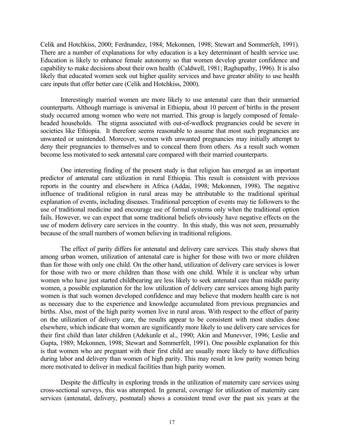Celik and Hotchkiss, 2000; Ferdnandez, 1984; Mekonnen, 1998; Stewart and Sommerfelt, 1991). There are a number of explanations for why education is a key determinant of health service use. Education is likely to enhance female autonomy so that women develop greater confidence and capability to make decisions about their own health (Caldwell, 1981; Raghupathy, 1996). It is also likely that educated women seek out higher quality services and have greater ability to use health care inputs that offer better care (Celik and Hotchkiss, 2000).

 Interestingly married women are more likely to use antenatal care than their unmarried counterparts. Although marriage is universal in Ethiopia, about 10 percent of births in the present study occurred among women who were not married. This group is largely composed of femaleheaded households. The stigma associated with out-of-wedlock pregnancies could be severe in societies like Ethiopia. It therefore seems reasonable to assume that most such pregnancies are unwanted or unintended. Moreover, women with unwanted pregnancies may initially attempt to deny their pregnancies to themselves and to conceal them from others. As a result such women become less motivated to seek antenatal care compared with their married counterparts.

 One interesting finding of the present study is that religion has emerged as an important predictor of antenatal care utilization in rural Ethiopia. This result is consistent with previous reports in the country and elsewhere in Africa (Addai, 1998; Mekonnen, 1998). The negative influence of traditional religion in rural areas may be attributable to the traditional spiritual explanation of events, including diseases. Traditional perception of events may tie followers to the use of traditional medicine and encourage use of formal systems only when the traditional option fails. However, we can expect that some traditional beliefs obviously have negative effects on the use of modern delivery care services in the country. In this study, this was not seen, presumably because of the small numbers of women believing in traditional religions.

 The effect of parity differs for antenatal and delivery care services. This study shows that among urban women, utilization of antenatal care is higher for those with two or more children than for those with only one child. On the other hand, utilization of delivery care services is lower for those with two or more children than those with one child. While it is unclear why urban women who have just started childbearing are less likely to seek antenatal care than middle parity women, a possible explanation for the low utilization of delivery care services among high parity women is that such women developed confidence and may believe that modern health care is not as necessary due to the experience and knowledge accumulated from previous pregnancies and births. Also, most of the high parity women live in rural areas. With respect to the effect of parity on the utilization of delivery care, the results appear to be consistent with most studies done elsewhere, which indicate that women are significantly more likely to use delivery care services for their first child than later children (Adekunle et al., 1990; Akin and Munevver, 1996; Leslie and Gupta, 1989; Mekonnen, 1998; Stewart and Sommerfelt, 1991). One possible explanation for this is that women who are pregnant with their first child are usually more likely to have difficulties during labor and delivery than women of high parity. This may result in low parity women being more motivated to deliver in medical facilities than high parity women.

 Despite the difficulty in exploring trends in the utilization of maternity care services using cross-sectional surveys, this was attempted. In general, coverage for utilization of maternity care services (antenatal, delivery, postnatal) shows a consistent trend over the past six years at the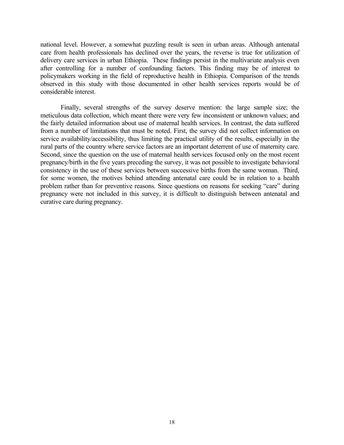national level. However, a somewhat puzzling result is seen in urban areas. Although antenatal care from health professionals has declined over the years, the reverse is true for utilization of delivery care services in urban Ethiopia. These findings persist in the multivariate analysis even after controlling for a number of confounding factors. This finding may be of interest to policymakers working in the field of reproductive health in Ethiopia. Comparison of the trends observed in this study with those documented in other health services reports would be of considerable interest.

 Finally, several strengths of the survey deserve mention: the large sample size; the meticulous data collection, which meant there were very few inconsistent or unknown values; and the fairly detailed information about use of maternal health services. In contrast, the data suffered from a number of limitations that must be noted. First, the survey did not collect information on service availability/accessibility, thus limiting the practical utility of the results, especially in the rural parts of the country where service factors are an important deterrent of use of maternity care. Second, since the question on the use of maternal health services focused only on the most recent pregnancy/birth in the five years preceding the survey, it was not possible to investigate behavioral consistency in the use of these services between successive births from the same woman. Third, for some women, the motives behind attending antenatal care could be in relation to a health problem rather than for preventive reasons. Since questions on reasons for seeking "care" during pregnancy were not included in this survey, it is difficult to distinguish between antenatal and curative care during pregnancy.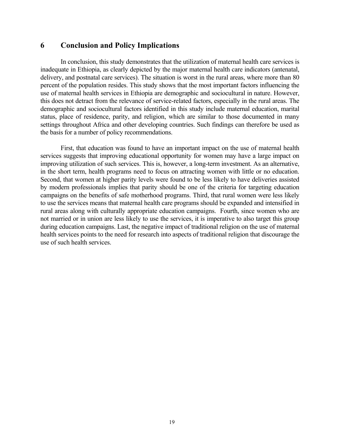# **6 Conclusion and Policy Implications**

 In conclusion, this study demonstrates that the utilization of maternal health care services is inadequate in Ethiopia, as clearly depicted by the major maternal health care indicators (antenatal, delivery, and postnatal care services). The situation is worst in the rural areas, where more than 80 percent of the population resides. This study shows that the most important factors influencing the use of maternal health services in Ethiopia are demographic and sociocultural in nature. However, this does not detract from the relevance of service-related factors, especially in the rural areas. The demographic and sociocultural factors identified in this study include maternal education, marital status, place of residence, parity, and religion, which are similar to those documented in many settings throughout Africa and other developing countries. Such findings can therefore be used as the basis for a number of policy recommendations.

 First, that education was found to have an important impact on the use of maternal health services suggests that improving educational opportunity for women may have a large impact on improving utilization of such services. This is, however, a long-term investment. As an alternative, in the short term, health programs need to focus on attracting women with little or no education. Second, that women at higher parity levels were found to be less likely to have deliveries assisted by modern professionals implies that parity should be one of the criteria for targeting education campaigns on the benefits of safe motherhood programs. Third, that rural women were less likely to use the services means that maternal health care programs should be expanded and intensified in rural areas along with culturally appropriate education campaigns. Fourth, since women who are not married or in union are less likely to use the services, it is imperative to also target this group during education campaigns. Last, the negative impact of traditional religion on the use of maternal health services points to the need for research into aspects of traditional religion that discourage the use of such health services.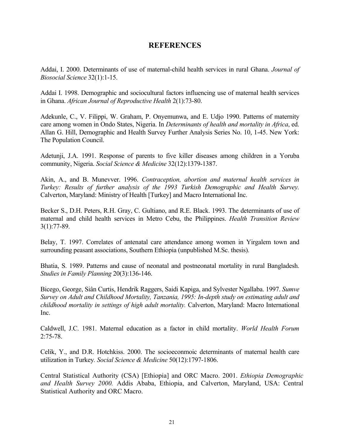# **REFERENCES**

Addai, I. 2000. Determinants of use of maternal-child health services in rural Ghana. *Journal of Biosocial Science* 32(1):1-15.

Addai I. 1998. Demographic and sociocultural factors influencing use of maternal health services in Ghana. *African Journal of Reproductive Health* 2(1):73-80.

Adekunle, C., V. Filippi, W. Graham, P. Onyemunwa, and E. Udjo 1990. Patterns of maternity care among women in Ondo States, Nigeria. In *Determinants of health and mortality in Africa*, ed. Allan G. Hill, Demographic and Health Survey Further Analysis Series No. 10, 1-45. New York: The Population Council.

Adetunji, J.A. 1991. Response of parents to five killer diseases among children in a Yoruba community, Nigeria. *Social Science & Medicine* 32(12):1379-1387.

Akin, A., and B. Munevver. 1996. *Contraception, abortion and maternal health services in Turkey: Results of further analysis of the 1993 Turkish Demographic and Health Survey.* Calverton, Maryland: Ministry of Health [Turkey] and Macro International Inc.

Becker S., D.H. Peters, R.H. Gray, C. Gultiano, and R.E. Black. 1993. The determinants of use of maternal and child health services in Metro Cebu, the Philippines. *Health Transition Review* 3(1):77-89.

Belay, T. 1997. Correlates of antenatal care attendance among women in Yirgalem town and surrounding peasant associations, Southern Ethiopia (unpublished M.Sc. thesis).

Bhatia, S. 1989. Patterns and cause of neonatal and postneonatal mortality in rural Bangladesh. *Studies in Family Planning* 20(3):136-146.

Bicego, George, Siân Curtis, Hendrik Raggers, Saidi Kapiga, and Sylvester Ngallaba. 1997. *Sumve Survey on Adult and Childhood Mortality, Tanzania, 1995: In-depth study on estimating adult and childhood mortality in settings of high adult mortality.* Calverton, Maryland: Macro International Inc.

Caldwell, J.C. 1981. Maternal education as a factor in child mortality. *World Health Forum*  2:75-78.

Celik, Y., and D.R. Hotchkiss. 2000. The socioeconmoic determinants of maternal health care utilization in Turkey*. Social Science & Medicine* 50(12):1797-1806.

Central Statistical Authority (CSA) [Ethiopia] and ORC Macro. 2001. *Ethiopia Demographic and Health Survey 2000.* Addis Ababa, Ethiopia, and Calverton, Maryland, USA: Central Statistical Authority and ORC Macro.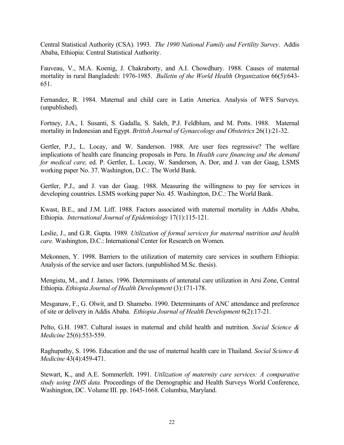Central Statistical Authority (CSA). 1993. *The 1990 National Family and Fertility Survey*. Addis Ababa, Ethiopia: Central Statistical Authority.

Fauveau, V., M.A. Koenig, J. Chakraborty, and A.I. Chowdhury. 1988. Causes of maternal mortality in rural Bangladesh: 1976-1985. *Bulletin of the World Health Organization* 66(5):643- 651.

Fernandez, R. 1984. Maternal and child care in Latin America. Analysis of WFS Surveys. (unpublished).

Fortney, J.A., I. Susanti, S. Gadalla, S. Saleh, P.J. Feldblum, and M. Potts. 1988. Maternal mortality in Indonesian and Egypt. *British Journal of Gynaecology and Obstetrics* 26(1):21-32.

Gertler, P.J., L. Locay, and W. Sanderson. 1988. Are user fees regressive? The welfare implications of health care financing proposals in Peru. In *Health care financing and the demand for medical care,* ed. P. Gertler, L. Locay, W. Sanderson, A. Dor, and J. van der Gaag, LSMS working paper No. 37. Washington, D.C.: The World Bank.

Gertler, P.J., and J. van der Gaag. 1988. Measuring the willingness to pay for services in developing countries. LSMS working paper No. 45. Washington, D.C.: The World Bank.

Kwast, B.E., and J.M. Liff. 1988. Factors associated with maternal mortality in Addis Ababa, Ethiopia. *International Journal of Epidemiology* 17(1):115-121.

Leslie, J., and G.R. Gupta. 1989*. Utilization of formal services for maternal nutrition and health care.* Washington, D.C.: International Center for Research on Women.

Mekonnen, Y. 1998. Barriers to the utilization of maternity care services in southern Ethiopia: Analysis of the service and user factors. (unpublished M.Sc. thesis).

Mengistu, M., and J. James. 1996. Determinants of antenatal care utilization in Arsi Zone, Central Ethiopia. *Ethiopia Journal of Health Development* (3):171-178.

Mesganaw, F., G. Olwit, and D. Shamebo. 1990. Determinants of ANC attendance and preference of site or delivery in Addis Ababa. *Ethiopia Journal of Health Development* 6(2):17-21.

Pelto, G.H. 1987. Cultural issues in maternal and child health and nutrition. *Social Science & Medicine* 25(6):553-559.

Raghupathy, S. 1996. Education and the use of maternal health care in Thailand. *Social Science & Medicine* 43(4):459-471.

Stewart, K., and A.E. Sommerfelt. 1991. *Utilization of maternity care services: A comparative study using DHS data.* Proceedings of the Demographic and Health Surveys World Conference, Washington, DC. Volume III. pp. 1645-1668. Columbia, Maryland.